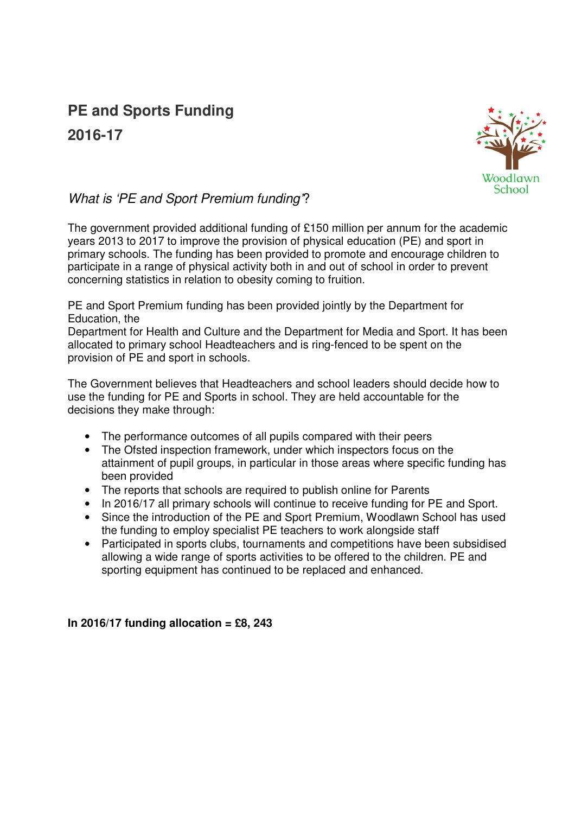## **PE and Sports Funding 2016-17**



## What is 'PE and Sport Premium funding'?

The government provided additional funding of £150 million per annum for the academic years 2013 to 2017 to improve the provision of physical education (PE) and sport in primary schools. The funding has been provided to promote and encourage children to participate in a range of physical activity both in and out of school in order to prevent concerning statistics in relation to obesity coming to fruition.

PE and Sport Premium funding has been provided jointly by the Department for Education, the

Department for Health and Culture and the Department for Media and Sport. It has been allocated to primary school Headteachers and is ring-fenced to be spent on the provision of PE and sport in schools.

The Government believes that Headteachers and school leaders should decide how to use the funding for PE and Sports in school. They are held accountable for the decisions they make through:

- The performance outcomes of all pupils compared with their peers
- The Ofsted inspection framework, under which inspectors focus on the attainment of pupil groups, in particular in those areas where specific funding has been provided
- The reports that schools are required to publish online for Parents
- In 2016/17 all primary schools will continue to receive funding for PE and Sport.
- Since the introduction of the PE and Sport Premium, Woodlawn School has used the funding to employ specialist PE teachers to work alongside staff
- Participated in sports clubs, tournaments and competitions have been subsidised allowing a wide range of sports activities to be offered to the children. PE and sporting equipment has continued to be replaced and enhanced.

**In 2016/17 funding allocation = £8, 243**